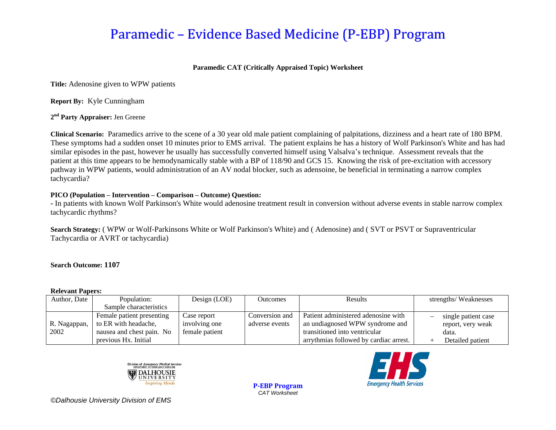# Paramedic – Evidence Based Medicine (P-EBP) Program

### **Paramedic CAT (Critically Appraised Topic) Worksheet**

**Title:** Adenosine given to WPW patients

**Report By:** Kyle Cunningham

**2 nd Party Appraiser:** Jen Greene

**Clinical Scenario:** Paramedics arrive to the scene of a 30 year old male patient complaining of palpitations, dizziness and a heart rate of 180 BPM. These symptoms had a sudden onset 10 minutes prior to EMS arrival. The patient explains he has a history of Wolf Parkinson's White and has had similar episodes in the past, however he usually has successfully converted himself using Valsalva's technique. Assessment reveals that the patient at this time appears to be hemodynamically stable with a BP of 118/90 and GCS 15. Knowing the risk of pre-excitation with accessory pathway in WPW patients, would administration of an AV nodal blocker, such as adensoine, be beneficial in terminating a narrow complex tachycardia?

#### **PICO (Population – Intervention – Comparison – Outcome) Question:**

**-** In patients with known Wolf Parkinson's White would adenosine treatment result in conversion without adverse events in stable narrow complex tachycardic rhythms?

**Search Strategy:** ( WPW or Wolf-Parkinsons White or Wolf Parkinson's White) and ( Adenosine) and ( SVT or PSVT or Supraventricular Tachycardia or AVRT or tachycardia)

#### **Search Outcome: 1107**

#### **Relevant Papers:**

| Author, Date         | Population:                                                                                            | Design (LOE)                                   | <b>Outcomes</b>                  | <b>Results</b>                                                                                                                                    | strengths/Weaknesses                                                  |
|----------------------|--------------------------------------------------------------------------------------------------------|------------------------------------------------|----------------------------------|---------------------------------------------------------------------------------------------------------------------------------------------------|-----------------------------------------------------------------------|
|                      | Sample characteristics                                                                                 |                                                |                                  |                                                                                                                                                   |                                                                       |
| R. Nagappan,<br>2002 | Female patient presenting<br>to ER with headache,<br>nausea and chest pain. No<br>previous Hx. Initial | Case report<br>involving one<br>female patient | Conversion and<br>adverse events | Patient administered adenosine with<br>an undiagnosed WPW syndrome and<br>transitioned into ventricular<br>arrythmias followed by cardiac arrest. | single patient case<br>report, very weak<br>data.<br>Detailed patient |

**P-EBP Program** *CAT Worksheet*





*©Dalhousie University Division of EMS*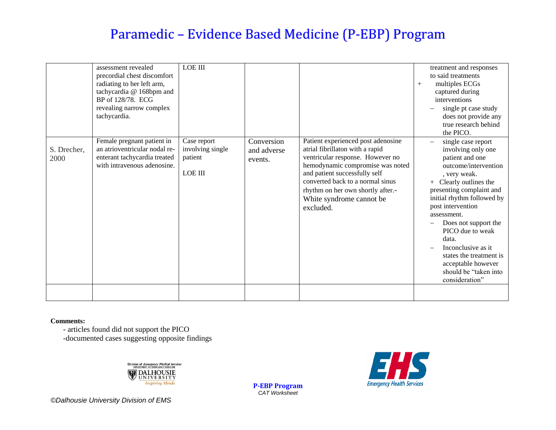# Paramedic – Evidence Based Medicine (P-EBP) Program

|                     | assessment revealed<br>precordial chest discomfort<br>radiating to her left arm,<br>tachycardia @ 168bpm and<br>BP of 128/78. ECG<br>revealing narrow complex<br>tachycardia. | <b>LOE III</b>                                        |                                      |                                                                                                                                                                                                                                                                                                  | $+$ | treatment and responses<br>to said treatments<br>multiples ECGs<br>captured during<br>interventions<br>single pt case study<br>does not provide any<br>true research behind<br>the PICO.                                                                                                                                                                                                                                                |
|---------------------|-------------------------------------------------------------------------------------------------------------------------------------------------------------------------------|-------------------------------------------------------|--------------------------------------|--------------------------------------------------------------------------------------------------------------------------------------------------------------------------------------------------------------------------------------------------------------------------------------------------|-----|-----------------------------------------------------------------------------------------------------------------------------------------------------------------------------------------------------------------------------------------------------------------------------------------------------------------------------------------------------------------------------------------------------------------------------------------|
| S. Drecher,<br>2000 | Female pregnant patient in<br>an atrioventricular nodal re-<br>enterant tachycardia treated<br>with intravenous adenosine.                                                    | Case report<br>involving single<br>patient<br>LOE III | Conversion<br>and adverse<br>events. | Patient experienced post adenosine<br>atrial fibrillaton with a rapid<br>ventricular response. However no<br>hemodynamic compromise was noted<br>and patient successfully self<br>converted back to a normal sinus<br>rhythm on her own shortly after.-<br>White syndrome cannot be<br>excluded. |     | single case report<br>$\overline{\phantom{0}}$<br>involving only one<br>patient and one<br>outcome/intervention<br>, very weak.<br>Clearly outlines the<br>$^{+}$<br>presenting complaint and<br>initial rhythm followed by<br>post intervention<br>assessment.<br>Does not support the<br>PICO due to weak<br>data.<br>Inconclusive as it.<br>states the treatment is<br>acceptable however<br>should be "taken into<br>consideration" |
|                     |                                                                                                                                                                               |                                                       |                                      |                                                                                                                                                                                                                                                                                                  |     |                                                                                                                                                                                                                                                                                                                                                                                                                                         |

**Comments:**

- articles found did not support the PICO

-documented cases suggesting opposite findings



**P-EBP Program** *CAT Worksheet*



*©Dalhousie University Division of EMS*